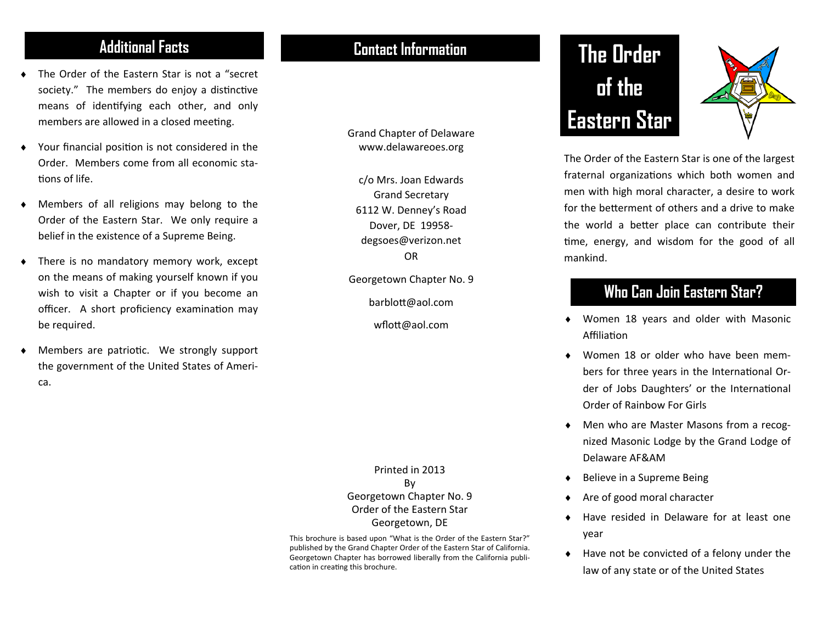- ٠ The Order of the Eastern Star is not <sup>a</sup> "secret society." The members do enjoy a distinctive means of idenƟfying each other, and only members are allowed in a closed meeting.
- ٠ Your financial position is not considered in the Order. Members come from all economic sta‐ tions of life.
- ٠ Members of all religions may belong to the Order of the Eastern Star. We only require <sup>a</sup> belief in the existence of <sup>a</sup> Supreme Being.
- ٠ There is no mandatory memory work, except on the means of making yourself known if you wish to visit <sup>a</sup> Chapter or if you become an officer. A short proficiency examination may be required.
- ٠ Members are patriotic. We strongly support the government of the United States of Ameri‐ ca.

### **Additional Facts Contact Information**

Grand Chapter of Delaware www.delawareoes.org

c/o Mrs. Joan Edwards Grand Secretary 6112 W. Denney's Road Dover, DE 19958‐ degsoes@verizon.net OR

Georgetown Chapter No. 9

barbloƩ@aol.com

wflott@aol.com

Printed in 2013 By Georgetown Chapter No. 9 Order of the Eastern Star Georgetown, DE

This brochure is based upon "What is the Order of the Eastern Star?" published by the Grand Chapter Order of the Eastern Star of California. Georgetown Chapter has borrowed liberally from the California publi‐ cation in creating this brochure.

# **The Order of the Eastern Star**



The Order of the Eastern Star is one of the largest fraternal organizations which both women and men with high moral character, <sup>a</sup> desire to work for the betterment of others and a drive to make the world a better place can contribute their time, energy, and wisdom for the good of all mankind.

### **Who Can Join Eastern Star?**

- $\blacklozenge$  Women 18 years and older with Masonic **Affiliation**
- ◆ Women 18 or older who have been members for three years in the International Order of Jobs Daughters' or the International Order of Rainbow For Girls
- ◆ Men who are Master Masons from a recognized Masonic Lodge by the Grand Lodge of Delaware AF&AM
- $\blacklozenge$ Believe in <sup>a</sup> Supreme Being
- $\blacklozenge$ Are of good moral character
- $\bullet$  Have resided in Delaware for at least one year
- $\bullet$  Have not be convicted of <sup>a</sup> felony under the law of any state or of the United States